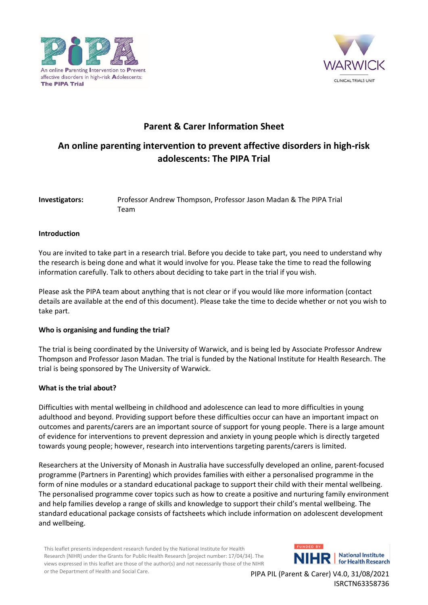



## **Parent & Carer Information Sheet**

# **An online parenting intervention to prevent affective disorders in high-risk adolescents: The PIPA Trial**

## **Investigators:** Professor Andrew Thompson, Professor Jason Madan & The PIPA Trial Team

## **Introduction**

You are invited to take part in a research trial. Before you decide to take part, you need to understand why the research is being done and what it would involve for you. Please take the time to read the following information carefully. Talk to others about deciding to take part in the trial if you wish.

Please ask the PIPA team about anything that is not clear or if you would like more information (contact details are available at the end of this document). Please take the time to decide whether or not you wish to take part.

## **Who is organising and funding the trial?**

The trial is being coordinated by the University of Warwick, and is being led by Associate Professor Andrew Thompson and Professor Jason Madan. The trial is funded by the National Institute for Health Research. The trial is being sponsored by The University of Warwick.

#### **What is the trial about?**

Difficulties with mental wellbeing in childhood and adolescence can lead to more difficulties in young adulthood and beyond. Providing support before these difficulties occur can have an important impact on outcomes and parents/carers are an important source of support for young people. There is a large amount of evidence for interventions to prevent depression and anxiety in young people which is directly targeted towards young people; however, research into interventions targeting parents/carers is limited.

Researchers at the University of Monash in Australia have successfully developed an online, parent-focused programme (Partners in Parenting) which provides families with either a personalised programme in the form of nine modules or a standard educational package to support their child with their mental wellbeing. The personalised programme cover topics such as how to create a positive and nurturing family environment and help families develop a range of skills and knowledge to support their child's mental wellbeing. The standard educational package consists of factsheets which include information on adolescent development and wellbeing.

This leaflet presents independent research funded by the National Institute for Health Research (NIHR) under the Grants for Public Health Research [project number: 17/04/34]. The views expressed in this leaflet are those of the author(s) and not necessarily those of the NIHR or the Department of Health and Social Care.

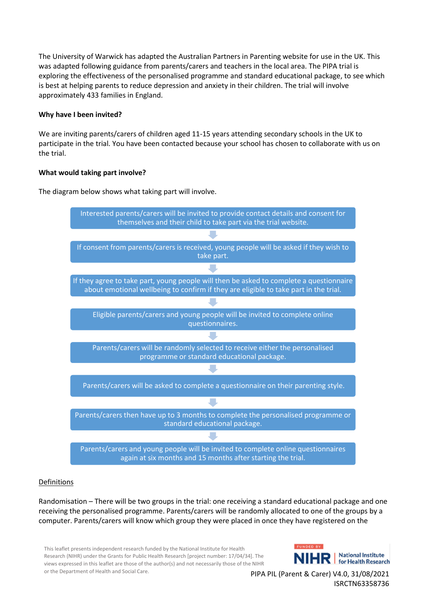The University of Warwick has adapted the Australian Partners in Parenting website for use in the UK. This was adapted following guidance from parents/carers and teachers in the local area. The PIPA trial is exploring the effectiveness of the personalised programme and standard educational package, to see which is best at helping parents to reduce depression and anxiety in their children. The trial will involve approximately 433 families in England.

## **Why have I been invited?**

We are inviting parents/carers of children aged 11-15 years attending secondary schools in the UK to participate in the trial. You have been contacted because your school has chosen to collaborate with us on the trial.

## **What would taking part involve?**

The diagram below shows what taking part will involve.



## Definitions

Randomisation – There will be two groups in the trial: one receiving a standard educational package and one receiving the personalised programme. Parents/carers will be randomly allocated to one of the groups by a computer. Parents/carers will know which group they were placed in once they have registered on the

This leaflet presents independent research funded by the National Institute for Health Research (NIHR) under the Grants for Public Health Research [project number: 17/04/34]. The views expressed in this leaflet are those of the author(s) and not necessarily those of the NIHR or the Department of Health and Social Care.

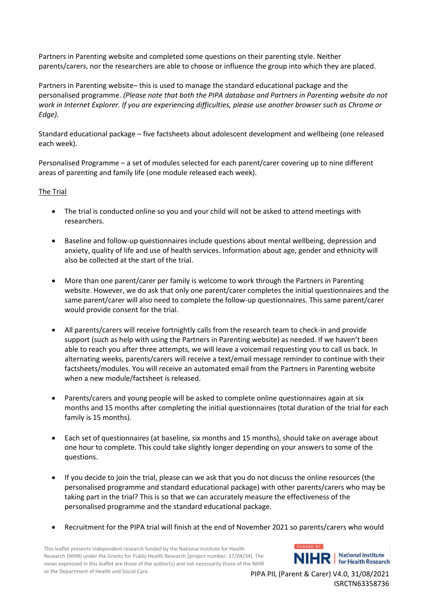Partners in Parenting website and completed some questions on their parenting style. Neither parents/carers, nor the researchers are able to choose or influence the group into which they are placed.

Partners in Parenting website– this is used to manage the standard educational package and the personalised programme. *(Please note that both the PIPA database and Partners in Parenting website do not work in Internet Explorer. If you are experiencing difficulties, please use another browser such as Chrome or Edge).*

Standard educational package – five factsheets about adolescent development and wellbeing (one released each week).

Personalised Programme – a set of modules selected for each parent/carer covering up to nine different areas of parenting and family life (one module released each week).

## The Trial

- The trial is conducted online so you and your child will not be asked to attend meetings with researchers.
- Baseline and follow-up questionnaires include questions about mental wellbeing, depression and anxiety, quality of life and use of health services. Information about age, gender and ethnicity will also be collected at the start of the trial.
- More than one parent/carer per family is welcome to work through the Partners in Parenting website. However, we do ask that only one parent/carer completes the initial questionnaires and the same parent/carer will also need to complete the follow-up questionnaires. This same parent/carer would provide consent for the trial.
- All parents/carers will receive fortnightly calls from the research team to check-in and provide support (such as help with using the Partners in Parenting website) as needed. If we haven't been able to reach you after three attempts, we will leave a voicemail requesting you to call us back. In alternating weeks, parents/carers will receive a text/email message reminder to continue with their factsheets/modules. You will receive an automated email from the Partners in Parenting website when a new module/factsheet is released.
- Parents/carers and young people will be asked to complete online questionnaires again at six months and 15 months after completing the initial questionnaires (total duration of the trial for each family is 15 months).
- Each set of questionnaires (at baseline, six months and 15 months), should take on average about one hour to complete. This could take slightly longer depending on your answers to some of the questions.
- If you decide to join the trial, please can we ask that you do not discuss the online resources (the personalised programme and standard educational package) with other parents/carers who may be taking part in the trial? This is so that we can accurately measure the effectiveness of the personalised programme and the standard educational package.
- Recruitment for the PIPA trial will finish at the end of November 2021 so parents/carers who would

This leaflet presents independent research funded by the National Institute for Health Research (NIHR) under the Grants for Public Health Research [project number: 17/04/34]. The views expressed in this leaflet are those of the author(s) and not necessarily those of the NIHR or the Department of Health and Social Care.

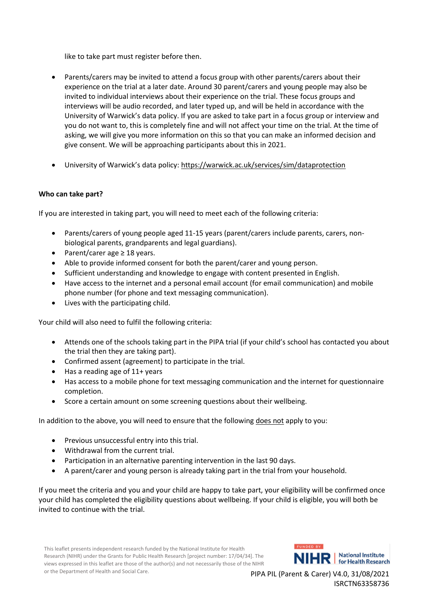like to take part must register before then.

- Parents/carers may be invited to attend a focus group with other parents/carers about their experience on the trial at a later date. Around 30 parent/carers and young people may also be invited to individual interviews about their experience on the trial. These focus groups and interviews will be audio recorded, and later typed up, and will be held in accordance with the University of Warwick's data policy. If you are asked to take part in a focus group or interview and you do not want to, this is completely fine and will not affect your time on the trial. At the time of asking, we will give you more information on this so that you can make an informed decision and give consent. We will be approaching participants about this in 2021.
- University of Warwick's data policy: <https://warwick.ac.uk/services/sim/dataprotection>

## **Who can take part?**

If you are interested in taking part, you will need to meet each of the following criteria:

- Parents/carers of young people aged 11-15 years (parent/carers include parents, carers, nonbiological parents, grandparents and legal guardians).
- Parent/carer age ≥ 18 years.
- Able to provide informed consent for both the parent/carer and young person.
- Sufficient understanding and knowledge to engage with content presented in English.
- Have access to the internet and a personal email account (for email communication) and mobile phone number (for phone and text messaging communication).
- Lives with the participating child.

Your child will also need to fulfil the following criteria:

- Attends one of the schools taking part in the PIPA trial (if your child's school has contacted you about the trial then they are taking part).
- Confirmed assent (agreement) to participate in the trial.
- Has a reading age of 11+ years
- Has access to a mobile phone for text messaging communication and the internet for questionnaire completion.
- Score a certain amount on some screening questions about their wellbeing.

In addition to the above, you will need to ensure that the following does not apply to you:

- Previous unsuccessful entry into this trial.
- Withdrawal from the current trial.
- Participation in an alternative parenting intervention in the last 90 days.
- A parent/carer and young person is already taking part in the trial from your household.

If you meet the criteria and you and your child are happy to take part, your eligibility will be confirmed once your child has completed the eligibility questions about wellbeing. If your child is eligible, you will both be invited to continue with the trial.

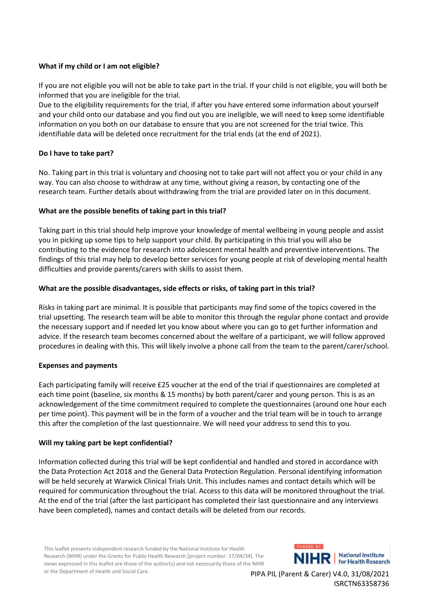## **What if my child or I am not eligible?**

If you are not eligible you will not be able to take part in the trial. If your child is not eligible, you will both be informed that you are ineligible for the trial.

Due to the eligibility requirements for the trial, if after you have entered some information about yourself and your child onto our database and you find out you are ineligible, we will need to keep some identifiable information on you both on our database to ensure that you are not screened for the trial twice. This identifiable data will be deleted once recruitment for the trial ends (at the end of 2021).

## **Do I have to take part?**

No. Taking part in this trial is voluntary and choosing not to take part will not affect you or your child in any way. You can also choose to withdraw at any time, without giving a reason, by contacting one of the research team. Further details about withdrawing from the trial are provided later on in this document.

## **What are the possible benefits of taking part in this trial?**

Taking part in this trial should help improve your knowledge of mental wellbeing in young people and assist you in picking up some tips to help support your child. By participating in this trial you will also be contributing to the evidence for research into adolescent mental health and preventive interventions. The findings of this trial may help to develop better services for young people at risk of developing mental health difficulties and provide parents/carers with skills to assist them.

## **What are the possible disadvantages, side effects or risks, of taking part in this trial?**

Risks in taking part are minimal. It is possible that participants may find some of the topics covered in the trial upsetting. The research team will be able to monitor this through the regular phone contact and provide the necessary support and if needed let you know about where you can go to get further information and advice. If the research team becomes concerned about the welfare of a participant, we will follow approved procedures in dealing with this. This will likely involve a phone call from the team to the parent/carer/school.

#### **Expenses and payments**

Each participating family will receive £25 voucher at the end of the trial if questionnaires are completed at each time point (baseline, six months & 15 months) by both parent/carer and young person. This is as an acknowledgement of the time commitment required to complete the questionnaires (around one hour each per time point). This payment will be in the form of a voucher and the trial team will be in touch to arrange this after the completion of the last questionnaire. We will need your address to send this to you.

#### **Will my taking part be kept confidential?**

Information collected during this trial will be kept confidential and handled and stored in accordance with the Data Protection Act 2018 and the General Data Protection Regulation. Personal identifying information will be held securely at Warwick Clinical Trials Unit. This includes names and contact details which will be required for communication throughout the trial. Access to this data will be monitored throughout the trial. At the end of the trial (after the last participant has completed their last questionnaire and any interviews have been completed), names and contact details will be deleted from our records.

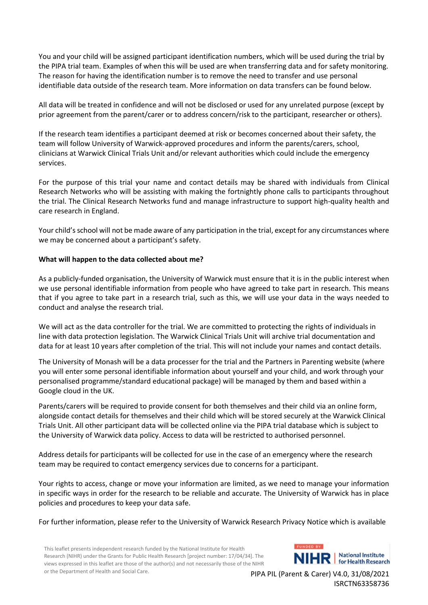You and your child will be assigned participant identification numbers, which will be used during the trial by the PIPA trial team. Examples of when this will be used are when transferring data and for safety monitoring. The reason for having the identification number is to remove the need to transfer and use personal identifiable data outside of the research team. More information on data transfers can be found below.

All data will be treated in confidence and will not be disclosed or used for any unrelated purpose (except by prior agreement from the parent/carer or to address concern/risk to the participant, researcher or others).

If the research team identifies a participant deemed at risk or becomes concerned about their safety, the team will follow University of Warwick-approved procedures and inform the parents/carers, school, clinicians at Warwick Clinical Trials Unit and/or relevant authorities which could include the emergency services.

For the purpose of this trial your name and contact details may be shared with individuals from Clinical Research Networks who will be assisting with making the fortnightly phone calls to participants throughout the trial. The Clinical Research Networks fund and manage infrastructure to support high-quality health and care research in England.

Your child's school will not be made aware of any participation in the trial, except for any circumstances where we may be concerned about a participant's safety.

#### **What will happen to the data collected about me?**

As a publicly-funded organisation, the University of Warwick must ensure that it is in the public interest when we use personal identifiable information from people who have agreed to take part in research. This means that if you agree to take part in a research trial, such as this, we will use your data in the ways needed to conduct and analyse the research trial.

We will act as the data controller for the trial. We are committed to protecting the rights of individuals in line with data protection legislation. The Warwick Clinical Trials Unit will archive trial documentation and data for at least 10 years after completion of the trial. This will not include your names and contact details.

The University of Monash will be a data processer for the trial and the Partners in Parenting website (where you will enter some personal identifiable information about yourself and your child, and work through your personalised programme/standard educational package) will be managed by them and based within a Google cloud in the UK.

Parents/carers will be required to provide consent for both themselves and their child via an online form, alongside contact details for themselves and their child which will be stored securely at the Warwick Clinical Trials Unit. All other participant data will be collected online via the PIPA trial database which is subject to the University of Warwick data policy. Access to data will be restricted to authorised personnel.

Address details for participants will be collected for use in the case of an emergency where the research team may be required to contact emergency services due to concerns for a participant.

Your rights to access, change or move your information are limited, as we need to manage your information in specific ways in order for the research to be reliable and accurate. The University of Warwick has in place policies and procedures to keep your data safe.

For further information, please refer to the University of Warwick Research Privacy Notice which is available

This leaflet presents independent research funded by the National Institute for Health Research (NIHR) under the Grants for Public Health Research [project number: 17/04/34]. The views expressed in this leaflet are those of the author(s) and not necessarily those of the NIHR or the Department of Health and Social Care.

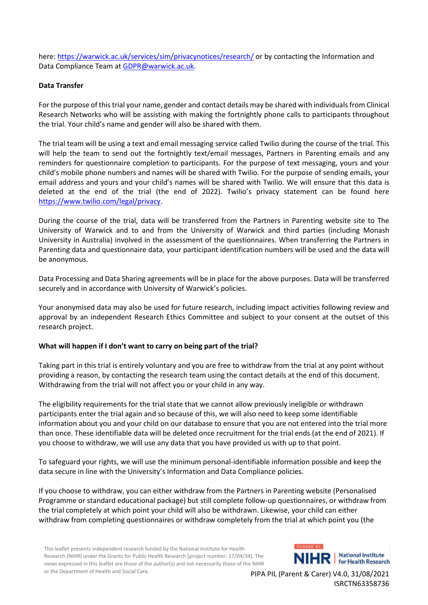here:<https://warwick.ac.uk/services/sim/privacynotices/research/> or by contacting the Information and Data Compliance Team at **GDPR@warwick.ac.uk.** 

## **Data Transfer**

For the purpose of this trial your name, gender and contact details may be shared with individuals from Clinical Research Networks who will be assisting with making the fortnightly phone calls to participants throughout the trial. Your child's name and gender will also be shared with them.

The trial team will be using a text and email messaging service called Twilio during the course of the trial. This will help the team to send out the fortnightly text/email messages, Partners in Parenting emails and any reminders for questionnaire completion to participants. For the purpose of text messaging, yours and your child's mobile phone numbers and names will be shared with Twilio. For the purpose of sending emails, your email address and yours and your child's names will be shared with Twilio. We will ensure that this data is deleted at the end of the trial (the end of 2022). Twilio's privacy statement can be found here [https://www.twilio.com/legal/privacy.](https://www.twilio.com/legal/privacy)

During the course of the trial, data will be transferred from the Partners in Parenting website site to The University of Warwick and to and from the University of Warwick and third parties (including Monash University in Australia) involved in the assessment of the questionnaires. When transferring the Partners in Parenting data and questionnaire data, your participant identification numbers will be used and the data will be anonymous.

Data Processing and Data Sharing agreements will be in place for the above purposes. Data will be transferred securely and in accordance with University of Warwick's policies.

Your anonymised data may also be used for future research, including impact activities following review and approval by an independent Research Ethics Committee and subject to your consent at the outset of this research project.

#### **What will happen if I don't want to carry on being part of the trial?**

Taking part in this trial is entirely voluntary and you are free to withdraw from the trial at any point without providing a reason, by contacting the research team using the contact details at the end of this document. Withdrawing from the trial will not affect you or your child in any way.

The eligibility requirements for the trial state that we cannot allow previously ineligible or withdrawn participants enter the trial again and so because of this, we will also need to keep some identifiable information about you and your child on our database to ensure that you are not entered into the trial more than once. These identifiable data will be deleted once recruitment for the trial ends (at the end of 2021). If you choose to withdraw, we will use any data that you have provided us with up to that point.

To safeguard your rights, we will use the minimum personal-identifiable information possible and keep the data secure in line with the University's Information and Data Compliance policies*.*

If you choose to withdraw, you can either withdraw from the Partners in Parenting website (Personalised Programme or standard educational package) but still complete follow-up questionnaires, or withdraw from the trial completely at which point your child will also be withdrawn. Likewise, your child can either withdraw from completing questionnaires or withdraw completely from the trial at which point you (the

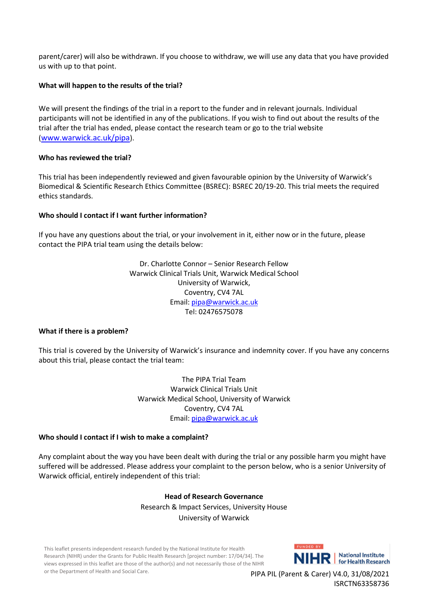parent/carer) will also be withdrawn. If you choose to withdraw, we will use any data that you have provided us with up to that point.

## **What will happen to the results of the trial?**

We will present the findings of the trial in a report to the funder and in relevant journals. Individual participants will not be identified in any of the publications. If you wish to find out about the results of the trial after the trial has ended, please contact the research team or go to the trial website (<www.warwick.ac.uk/pipa>).

#### **Who has reviewed the trial?**

This trial has been independently reviewed and given favourable opinion by the University of Warwick's Biomedical & Scientific Research Ethics Committee (BSREC): BSREC 20/19-20. This trial meets the required ethics standards.

## **Who should I contact if I want further information?**

If you have any questions about the trial, or your involvement in it, either now or in the future, please contact the PIPA trial team using the details below:

> Dr. Charlotte Connor – Senior Research Fellow Warwick Clinical Trials Unit, Warwick Medical School University of Warwick, Coventry, CV4 7AL Email: [pipa@warwick.ac.uk](mailto:pipa@warwick.ac.uk) Tel: 02476575078

#### **What if there is a problem?**

This trial is covered by the University of Warwick's insurance and indemnity cover. If you have any concerns about this trial, please contact the trial team:

> The PIPA Trial Team Warwick Clinical Trials Unit Warwick Medical School, University of Warwick Coventry, CV4 7AL Email: [pipa@warwick.ac.uk](mailto:pipa@warwick.ac.uk)

#### **Who should I contact if I wish to make a complaint?**

Any complaint about the way you have been dealt with during the trial or any possible harm you might have suffered will be addressed. Please address your complaint to the person below, who is a senior University of Warwick official, entirely independent of this trial:

## **Head of Research Governance** Research & Impact Services, University House University of Warwick

This leaflet presents independent research funded by the National Institute for Health Research (NIHR) under the Grants for Public Health Research [project number: 17/04/34]. The views expressed in this leaflet are those of the author(s) and not necessarily those of the NIHR or the Department of Health and Social Care.